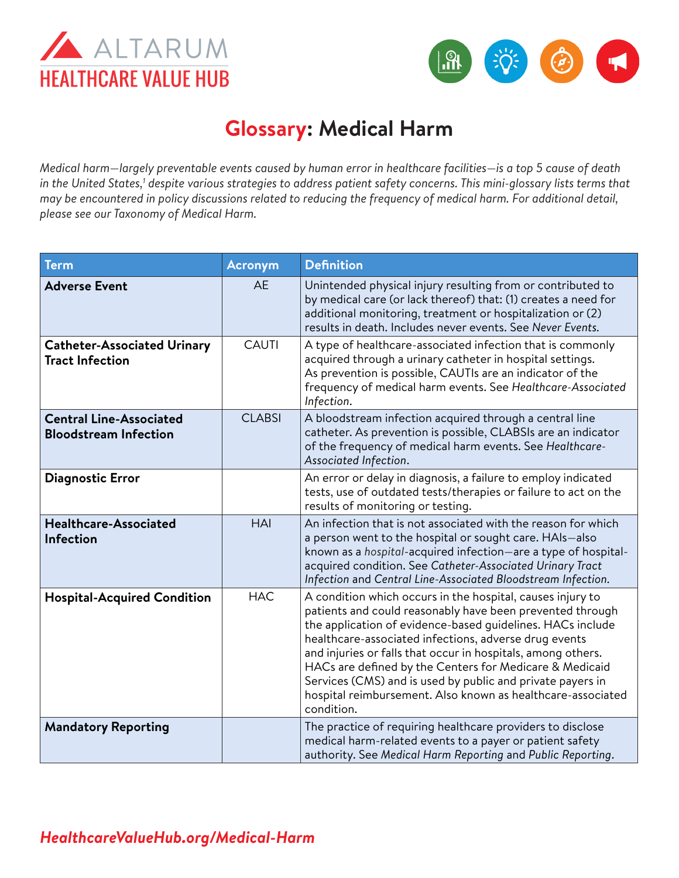



# **Glossary: Medical Harm**

*Medical harm*—*largely preventable events caused by human error in healthcare facilities*—*is a top 5 cause of death*  in the United States,<sup>1</sup> despite various strategies to address patient safety concerns. This mini-glossary lists terms that *may be encountered in policy discussions related to reducing the frequency of medical harm. For additional detail, please see our [Taxonomy of Medical Harm.](https://www.healthcarevaluehub.org/advocate-resources/publications/medical-harm-taxonomy)*

| <b>Term</b>                                                    | <b>Acronym</b> | <b>Definition</b>                                                                                                                                                                                                                                                                                                                                                                                                                                                                                                    |
|----------------------------------------------------------------|----------------|----------------------------------------------------------------------------------------------------------------------------------------------------------------------------------------------------------------------------------------------------------------------------------------------------------------------------------------------------------------------------------------------------------------------------------------------------------------------------------------------------------------------|
| <b>Adverse Event</b>                                           | <b>AE</b>      | Unintended physical injury resulting from or contributed to<br>by medical care (or lack thereof) that: (1) creates a need for<br>additional monitoring, treatment or hospitalization or (2)<br>results in death. Includes never events. See Never Events.                                                                                                                                                                                                                                                            |
| <b>Catheter-Associated Urinary</b><br><b>Tract Infection</b>   | <b>CAUTI</b>   | A type of healthcare-associated infection that is commonly<br>acquired through a urinary catheter in hospital settings.<br>As prevention is possible, CAUTIs are an indicator of the<br>frequency of medical harm events. See Healthcare-Associated<br>Infection.                                                                                                                                                                                                                                                    |
| <b>Central Line-Associated</b><br><b>Bloodstream Infection</b> | <b>CLABSI</b>  | A bloodstream infection acquired through a central line<br>catheter. As prevention is possible, CLABSIs are an indicator<br>of the frequency of medical harm events. See Healthcare-<br>Associated Infection.                                                                                                                                                                                                                                                                                                        |
| <b>Diagnostic Error</b>                                        |                | An error or delay in diagnosis, a failure to employ indicated<br>tests, use of outdated tests/therapies or failure to act on the<br>results of monitoring or testing.                                                                                                                                                                                                                                                                                                                                                |
| <b>Healthcare-Associated</b><br><b>Infection</b>               | <b>HAI</b>     | An infection that is not associated with the reason for which<br>a person went to the hospital or sought care. HAIs-also<br>known as a hospital-acquired infection-are a type of hospital-<br>acquired condition. See Catheter-Associated Urinary Tract<br>Infection and Central Line-Associated Bloodstream Infection.                                                                                                                                                                                              |
| <b>Hospital-Acquired Condition</b>                             | <b>HAC</b>     | A condition which occurs in the hospital, causes injury to<br>patients and could reasonably have been prevented through<br>the application of evidence-based guidelines. HACs include<br>healthcare-associated infections, adverse drug events<br>and injuries or falls that occur in hospitals, among others.<br>HACs are defined by the Centers for Medicare & Medicaid<br>Services (CMS) and is used by public and private payers in<br>hospital reimbursement. Also known as healthcare-associated<br>condition. |
| <b>Mandatory Reporting</b>                                     |                | The practice of requiring healthcare providers to disclose<br>medical harm-related events to a payer or patient safety<br>authority. See Medical Harm Reporting and Public Reporting.                                                                                                                                                                                                                                                                                                                                |

### *[HealthcareValueHub.org/M](https://www.HealthcareValueHub.org/medical-harm)edical-Harm*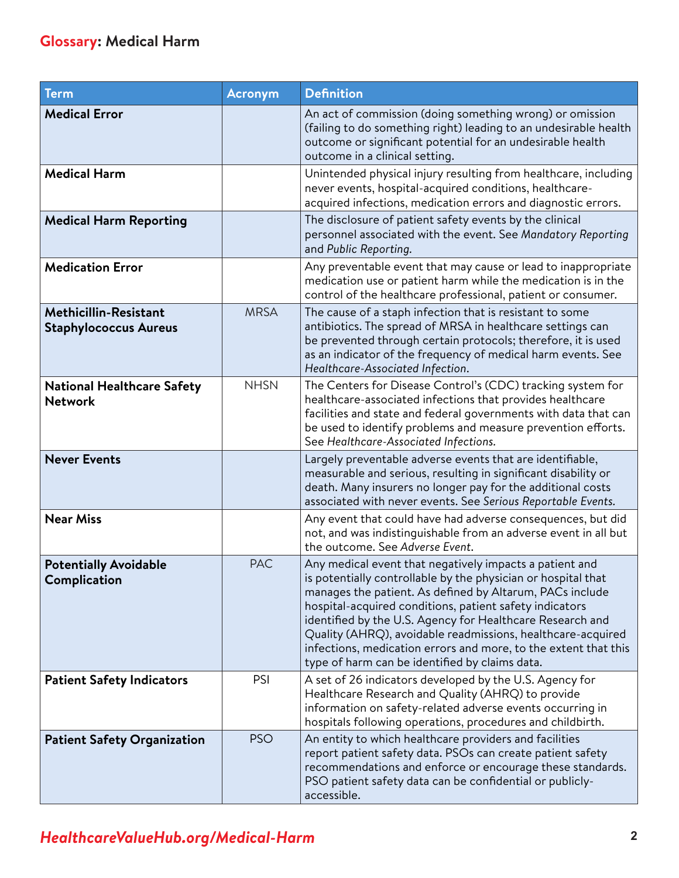| Term                                                         | <b>Acronym</b> | <b>Definition</b>                                                                                                                                                                                                                                                                                                                                                                                                                                                                                |
|--------------------------------------------------------------|----------------|--------------------------------------------------------------------------------------------------------------------------------------------------------------------------------------------------------------------------------------------------------------------------------------------------------------------------------------------------------------------------------------------------------------------------------------------------------------------------------------------------|
| <b>Medical Error</b>                                         |                | An act of commission (doing something wrong) or omission<br>(failing to do something right) leading to an undesirable health<br>outcome or significant potential for an undesirable health<br>outcome in a clinical setting.                                                                                                                                                                                                                                                                     |
| <b>Medical Harm</b>                                          |                | Unintended physical injury resulting from healthcare, including<br>never events, hospital-acquired conditions, healthcare-<br>acquired infections, medication errors and diagnostic errors.                                                                                                                                                                                                                                                                                                      |
| <b>Medical Harm Reporting</b>                                |                | The disclosure of patient safety events by the clinical<br>personnel associated with the event. See Mandatory Reporting<br>and Public Reporting.                                                                                                                                                                                                                                                                                                                                                 |
| <b>Medication Error</b>                                      |                | Any preventable event that may cause or lead to inappropriate<br>medication use or patient harm while the medication is in the<br>control of the healthcare professional, patient or consumer.                                                                                                                                                                                                                                                                                                   |
| <b>Methicillin-Resistant</b><br><b>Staphylococcus Aureus</b> | <b>MRSA</b>    | The cause of a staph infection that is resistant to some<br>antibiotics. The spread of MRSA in healthcare settings can<br>be prevented through certain protocols; therefore, it is used<br>as an indicator of the frequency of medical harm events. See<br>Healthcare-Associated Infection.                                                                                                                                                                                                      |
| <b>National Healthcare Safety</b><br><b>Network</b>          | <b>NHSN</b>    | The Centers for Disease Control's (CDC) tracking system for<br>healthcare-associated infections that provides healthcare<br>facilities and state and federal governments with data that can<br>be used to identify problems and measure prevention efforts.<br>See Healthcare-Associated Infections.                                                                                                                                                                                             |
| <b>Never Events</b>                                          |                | Largely preventable adverse events that are identifiable,<br>measurable and serious, resulting in significant disability or<br>death. Many insurers no longer pay for the additional costs<br>associated with never events. See Serious Reportable Events.                                                                                                                                                                                                                                       |
| <b>Near Miss</b>                                             |                | Any event that could have had adverse consequences, but did<br>not, and was indistinguishable from an adverse event in all but<br>the outcome. See Adverse Event.                                                                                                                                                                                                                                                                                                                                |
| <b>Potentially Avoidable</b><br>Complication                 | <b>PAC</b>     | Any medical event that negatively impacts a patient and<br>is potentially controllable by the physician or hospital that<br>manages the patient. As defined by Altarum, PACs include<br>hospital-acquired conditions, patient safety indicators<br>identified by the U.S. Agency for Healthcare Research and<br>Quality (AHRQ), avoidable readmissions, healthcare-acquired<br>infections, medication errors and more, to the extent that this<br>type of harm can be identified by claims data. |
| <b>Patient Safety Indicators</b>                             | PSI            | A set of 26 indicators developed by the U.S. Agency for<br>Healthcare Research and Quality (AHRQ) to provide<br>information on safety-related adverse events occurring in<br>hospitals following operations, procedures and childbirth.                                                                                                                                                                                                                                                          |
| <b>Patient Safety Organization</b>                           | <b>PSO</b>     | An entity to which healthcare providers and facilities<br>report patient safety data. PSOs can create patient safety<br>recommendations and enforce or encourage these standards.<br>PSO patient safety data can be confidential or publicly-<br>accessible.                                                                                                                                                                                                                                     |

## *[HealthcareValueHub.org/M](https://www.HealthcareValueHub.org/medical-harm)edical-Harm*